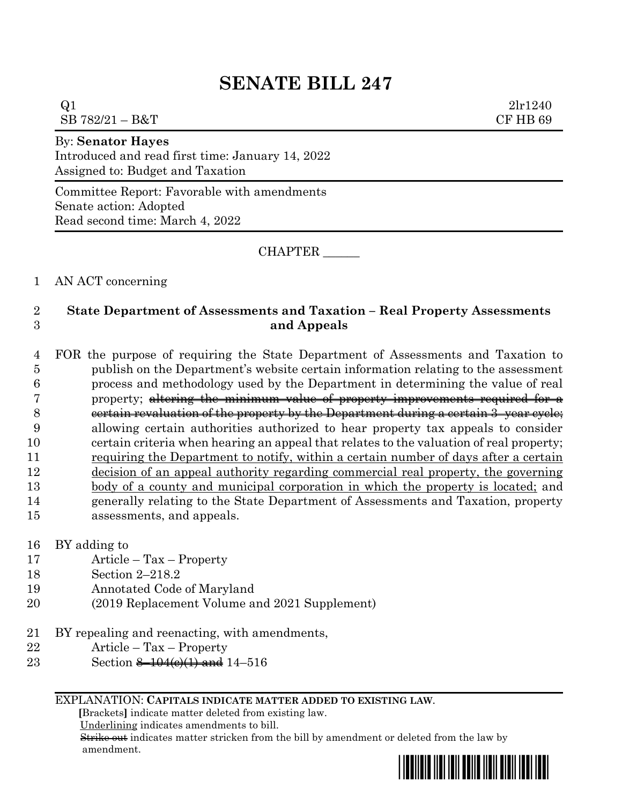# **SENATE BILL 247**

| _____<br>$\sim$ |          |
|-----------------|----------|
| SB 782/21 - B&T | CF HB 69 |
| Q1              | 21r1240  |
|                 |          |

By: **Senator Hayes** Introduced and read first time: January 14, 2022 Assigned to: Budget and Taxation

Committee Report: Favorable with amendments Senate action: Adopted Read second time: March 4, 2022

CHAPTER \_\_\_\_\_\_

## 1 AN ACT concerning

# 2 **State Department of Assessments and Taxation – Real Property Assessments**  3 **and Appeals**

 FOR the purpose of requiring the State Department of Assessments and Taxation to publish on the Department's website certain information relating to the assessment process and methodology used by the Department in determining the value of real property; altering the minimum value of property improvements required for a 8 eertain revaluation of the property by the Department during a certain 3–year cycle; allowing certain authorities authorized to hear property tax appeals to consider certain criteria when hearing an appeal that relates to the valuation of real property; requiring the Department to notify, within a certain number of days after a certain decision of an appeal authority regarding commercial real property, the governing body of a county and municipal corporation in which the property is located; and generally relating to the State Department of Assessments and Taxation, property assessments, and appeals.

- 16 BY adding to
- 17 Article Tax Property
- 18 Section 2–218.2
- 19 Annotated Code of Maryland
- 20 (2019 Replacement Volume and 2021 Supplement)
- 21 BY repealing and reenacting, with amendments,
- 22 Article Tax Property
- 23 Section <del>8–104(e)(1) and</del> 14–516

#### EXPLANATION: **CAPITALS INDICATE MATTER ADDED TO EXISTING LAW**.

 **[**Brackets**]** indicate matter deleted from existing law.

Underlining indicates amendments to bill.

 Strike out indicates matter stricken from the bill by amendment or deleted from the law by amendment.

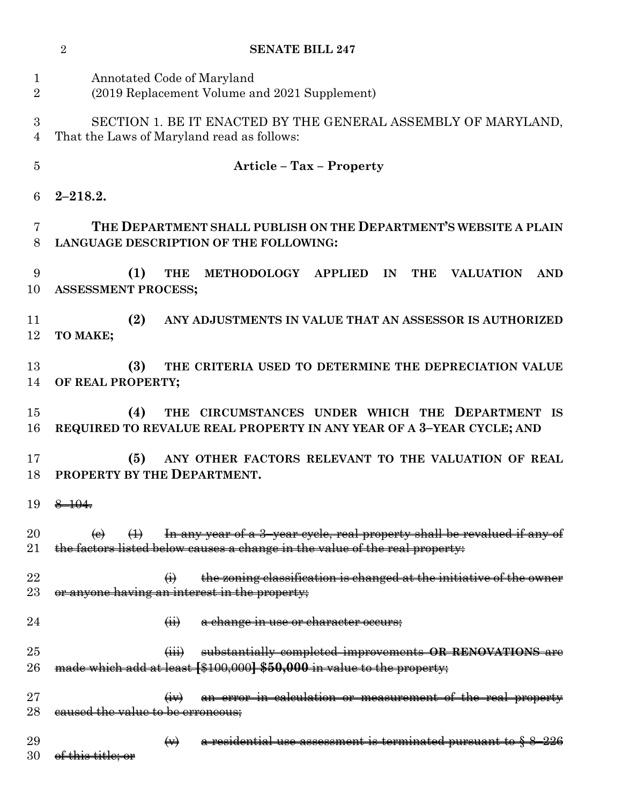|                     | <b>SENATE BILL 247</b><br>$\overline{2}$                                                                                                                                           |
|---------------------|------------------------------------------------------------------------------------------------------------------------------------------------------------------------------------|
| 1<br>$\overline{2}$ | Annotated Code of Maryland<br>(2019 Replacement Volume and 2021 Supplement)                                                                                                        |
| 3<br>$\overline{4}$ | SECTION 1. BE IT ENACTED BY THE GENERAL ASSEMBLY OF MARYLAND,<br>That the Laws of Maryland read as follows:                                                                        |
| $\overline{5}$      | <b>Article - Tax - Property</b>                                                                                                                                                    |
| 6                   | $2 - 218.2.$                                                                                                                                                                       |
| 7<br>8              | THE DEPARTMENT SHALL PUBLISH ON THE DEPARTMENT'S WEBSITE A PLAIN<br>LANGUAGE DESCRIPTION OF THE FOLLOWING:                                                                         |
| 9<br>10             | (1)<br><b>THE</b><br>METHODOLOGY APPLIED IN<br><b>THE</b><br><b>VALUATION</b><br><b>AND</b><br><b>ASSESSMENT PROCESS;</b>                                                          |
| 11<br>12            | (2)<br>ANY ADJUSTMENTS IN VALUE THAT AN ASSESSOR IS AUTHORIZED<br>TO MAKE;                                                                                                         |
| 13<br>14            | (3)<br>THE CRITERIA USED TO DETERMINE THE DEPRECIATION VALUE<br>OF REAL PROPERTY;                                                                                                  |
| 15<br>16            | THE CIRCUMSTANCES UNDER WHICH THE DEPARTMENT IS<br>(4)<br>REQUIRED TO REVALUE REAL PROPERTY IN ANY YEAR OF A 3-YEAR CYCLE; AND                                                     |
| 17<br>18            | ANY OTHER FACTORS RELEVANT TO THE VALUATION OF REAL<br>(5)<br>PROPERTY BY THE DEPARTMENT.                                                                                          |
| 19                  | $8 - 104.$                                                                                                                                                                         |
| $20\,$<br>$21\,$    | In any year of a 3-year cycle, real property shall be revalued if any of<br>$\bigoplus$<br>$\Theta$<br>the factors listed below causes a change in the value of the real property: |
| 22<br>$23\,$        | the zoning classification is changed at the initiative of the owner<br>$\ddot{\Theta}$<br>or anyone having an interest in the property;                                            |
| 24                  | a change in use or character occurs;<br>$\overrightarrow{41}$                                                                                                                      |
| 25<br>26            | substantially completed improvements OR RENOVATIONS are<br>$\overline{(\mathbf{iii})}$<br>made which add at least [\$100,000] \$50,000 in value to the property;                   |
| $27\,$<br>28        | an error in calculation or measurement of the real property<br>eaused the value to be erroneous;                                                                                   |
| 29<br>30            | a residential use assessment is terminated pursuant to § 8-226<br>$\leftrightarrow$<br><del>of this title; or</del>                                                                |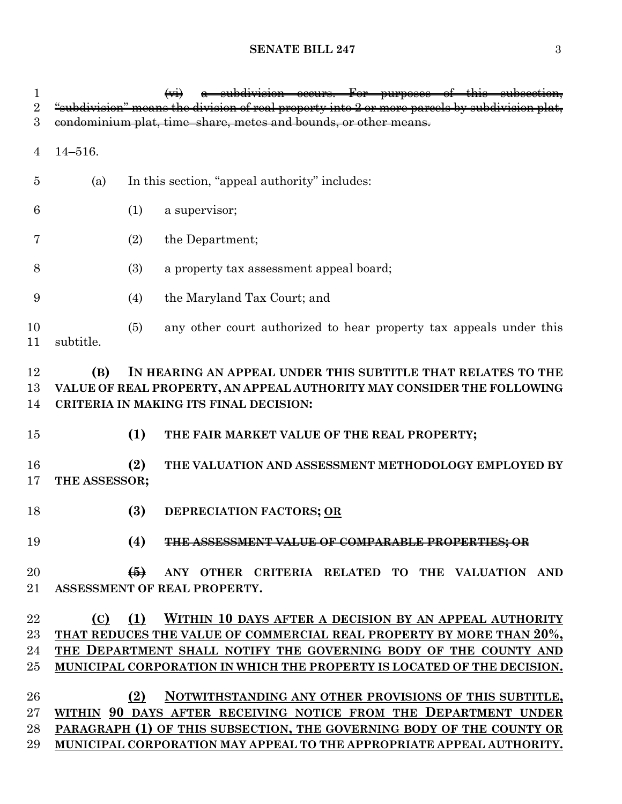## **SENATE BILL 247** 3

| $\mathbf 1$<br>$\sqrt{2}$ | a subdivision occurs. For purposes of this subsection,<br>"subdivision" means the division of real property into 2 or more parcels by subdivision plat,                                 |
|---------------------------|-----------------------------------------------------------------------------------------------------------------------------------------------------------------------------------------|
| 3                         | condominium plat, time-share, metes and bounds, or other means.                                                                                                                         |
|                           |                                                                                                                                                                                         |
| 4                         | $14 - 516.$                                                                                                                                                                             |
| 5                         | In this section, "appeal authority" includes:<br>(a)                                                                                                                                    |
| 6                         | (1)<br>a supervisor;                                                                                                                                                                    |
| 7                         | (2)<br>the Department;                                                                                                                                                                  |
| 8                         | (3)<br>a property tax assessment appeal board;                                                                                                                                          |
| 9                         | the Maryland Tax Court; and<br>(4)                                                                                                                                                      |
| 10<br>11                  | any other court authorized to hear property tax appeals under this<br>(5)<br>subtitle.                                                                                                  |
| 12<br>13<br>14            | IN HEARING AN APPEAL UNDER THIS SUBTITLE THAT RELATES TO THE<br>(B)<br>VALUE OF REAL PROPERTY, AN APPEAL AUTHORITY MAY CONSIDER THE FOLLOWING<br>CRITERIA IN MAKING ITS FINAL DECISION: |
| 15                        | (1)<br>THE FAIR MARKET VALUE OF THE REAL PROPERTY;                                                                                                                                      |
| 16<br>17                  | (2)<br>THE VALUATION AND ASSESSMENT METHODOLOGY EMPLOYED BY<br>THE ASSESSOR;                                                                                                            |
| 18                        | (3)<br>DEPRECIATION FACTORS; OR                                                                                                                                                         |
| 19                        | (4)<br>THE ASSESSMENT VALUE OF COMPARABLE PROPERTIES; OR                                                                                                                                |
| 20<br>21                  | ANY OTHER CRITERIA RELATED TO THE VALUATION AND<br>$\bigoplus$<br>ASSESSMENT OF REAL PROPERTY.                                                                                          |
| 22                        | (1)<br>WITHIN 10 DAYS AFTER A DECISION BY AN APPEAL AUTHORITY<br>(C)                                                                                                                    |
| 23                        | THAT REDUCES THE VALUE OF COMMERCIAL REAL PROPERTY BY MORE THAN 20%,                                                                                                                    |
| 24                        | THE DEPARTMENT SHALL NOTIFY THE GOVERNING BODY OF THE COUNTY AND                                                                                                                        |
| 25                        | MUNICIPAL CORPORATION IN WHICH THE PROPERTY IS LOCATED OF THE DECISION.                                                                                                                 |
| 26                        | NOTWITHSTANDING ANY OTHER PROVISIONS OF THIS SUBTITLE,<br>(2)                                                                                                                           |
| 27                        | WITHIN 90 DAYS AFTER RECEIVING NOTICE FROM THE DEPARTMENT UNDER                                                                                                                         |
| 28                        | PARAGRAPH (1) OF THIS SUBSECTION, THE GOVERNING BODY OF THE COUNTY OR                                                                                                                   |
| 29                        | MUNICIPAL CORPORATION MAY APPEAL TO THE APPROPRIATE APPEAL AUTHORITY.                                                                                                                   |